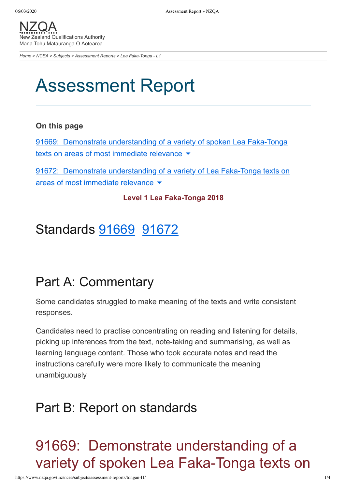[NZQA](https://www.nzqa.govt.nz/) Zealand Qualifications Authority Mana Tohu Matauranga O Aotearoa

*[Home](https://www.nzqa.govt.nz/home) > [NCEA](https://www.nzqa.govt.nz/ncea/) > [Subjects](https://www.nzqa.govt.nz/ncea/subjects/) > [Assessment Reports](https://www.nzqa.govt.nz/ncea/subjects/assessment-reports/) > Lea Faka-Tonga - L1*

# Assessment Report

#### **On this page**

91669: Demonstrate [understanding](https://www.nzqa.govt.nz/ncea/subjects/assessment-reports/tongan-l1/#heading2-0) of a variety of spoken Lea Faka-Tonga texts on areas of most immediate relevance  $\blacktriangleright$ 

91672: Demonstrate [understanding](https://www.nzqa.govt.nz/ncea/subjects/assessment-reports/tongan-l1/#heading2-1) of a variety of Lea Faka-Tonga texts on areas of most immediate relevance  $\blacktriangledown$ 

#### **Level 1 Lea Faka-Tonga 2018**

### Standards [91669](https://www.nzqa.govt.nz/ncea/subjects/assessment-reports/tongan-l1/#91669) [91672](https://www.nzqa.govt.nz/ncea/subjects/assessment-reports/tongan-l1/#91672)

### Part A: Commentary

Some candidates struggled to make meaning of the texts and write consistent responses.

Candidates need to practise concentrating on reading and listening for details, picking up inferences from the text, note-taking and summarising, as well as learning language content. Those who took accurate notes and read the instructions carefully were more likely to communicate the meaning unambiguously

### Part B: Report on standards

91669: Demonstrate understanding of a variety of spoken Lea Faka-Tonga texts on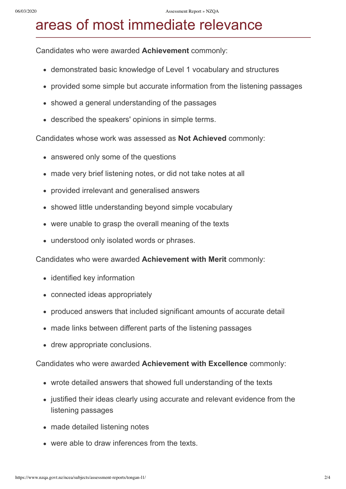## areas of most immediate relevance

Candidates who were awarded **Achievement** commonly:

- demonstrated basic knowledge of Level 1 vocabulary and structures
- provided some simple but accurate information from the listening passages
- showed a general understanding of the passages
- described the speakers' opinions in simple terms.

Candidates whose work was assessed as **Not Achieved** commonly:

- answered only some of the questions
- made very brief listening notes, or did not take notes at all
- provided irrelevant and generalised answers
- showed little understanding beyond simple vocabulary
- were unable to grasp the overall meaning of the texts
- understood only isolated words or phrases.

Candidates who were awarded **Achievement with Merit** commonly:

- identified key information
- connected ideas appropriately
- produced answers that included significant amounts of accurate detail
- made links between different parts of the listening passages
- drew appropriate conclusions.

Candidates who were awarded **Achievement with Excellence** commonly:

- wrote detailed answers that showed full understanding of the texts
- justified their ideas clearly using accurate and relevant evidence from the listening passages
- made detailed listening notes
- were able to draw inferences from the texts.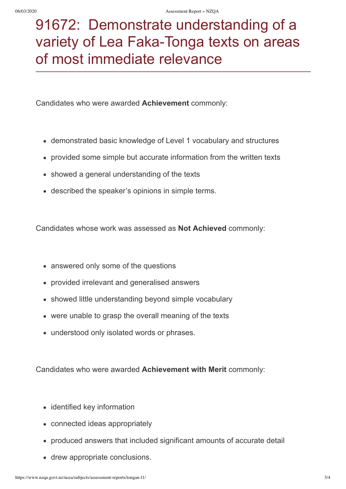# 91672: Demonstrate understanding of a variety of Lea Faka-Tonga texts on areas of most immediate relevance

Candidates who were awarded **Achievement** commonly:

- demonstrated basic knowledge of Level 1 vocabulary and structures
- provided some simple but accurate information from the written texts
- showed a general understanding of the texts
- described the speaker's opinions in simple terms.

Candidates whose work was assessed as **Not Achieved** commonly:

- answered only some of the questions
- provided irrelevant and generalised answers
- showed little understanding beyond simple vocabulary
- were unable to grasp the overall meaning of the texts
- understood only isolated words or phrases.

Candidates who were awarded **Achievement with Merit** commonly:

- identified key information
- connected ideas appropriately
- produced answers that included significant amounts of accurate detail
- drew appropriate conclusions.